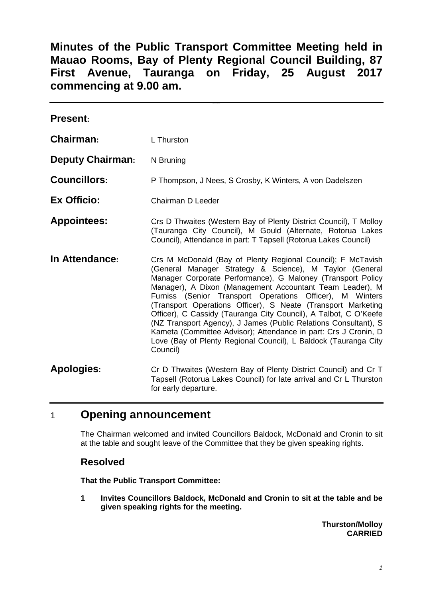**Minutes of the Public Transport Committee Meeting held in Mauao Rooms, Bay of Plenty Regional Council Building, 87 First Avenue, Tauranga on Friday, 25 August 2017 commencing at 9.00 am.**

| <b>Present:</b>         |                                                                                                                                                                                                                                                                                                                                                                                                                                                                                                                                                                                                                                                                        |
|-------------------------|------------------------------------------------------------------------------------------------------------------------------------------------------------------------------------------------------------------------------------------------------------------------------------------------------------------------------------------------------------------------------------------------------------------------------------------------------------------------------------------------------------------------------------------------------------------------------------------------------------------------------------------------------------------------|
| Chairman:               | L Thurston                                                                                                                                                                                                                                                                                                                                                                                                                                                                                                                                                                                                                                                             |
| <b>Deputy Chairman:</b> | N Bruning                                                                                                                                                                                                                                                                                                                                                                                                                                                                                                                                                                                                                                                              |
| <b>Councillors:</b>     | P Thompson, J Nees, S Crosby, K Winters, A von Dadelszen                                                                                                                                                                                                                                                                                                                                                                                                                                                                                                                                                                                                               |
| Ex Officio:             | Chairman D Leeder                                                                                                                                                                                                                                                                                                                                                                                                                                                                                                                                                                                                                                                      |
| <b>Appointees:</b>      | Crs D Thwaites (Western Bay of Plenty District Council), T Molloy<br>(Tauranga City Council), M Gould (Alternate, Rotorua Lakes<br>Council), Attendance in part: T Tapsell (Rotorua Lakes Council)                                                                                                                                                                                                                                                                                                                                                                                                                                                                     |
| In Attendance:          | Crs M McDonald (Bay of Plenty Regional Council); F McTavish<br>(General Manager Strategy & Science), M Taylor (General<br>Manager Corporate Performance), G Maloney (Transport Policy<br>Manager), A Dixon (Management Accountant Team Leader), M<br>Furniss (Senior Transport Operations Officer), M Winters<br>(Transport Operations Officer), S Neate (Transport Marketing<br>Officer), C Cassidy (Tauranga City Council), A Talbot, C O'Keefe<br>(NZ Transport Agency), J James (Public Relations Consultant), S<br>Kameta (Committee Advisor); Attendance in part: Crs J Cronin, D<br>Love (Bay of Plenty Regional Council), L Baldock (Tauranga City<br>Council) |
| <b>Apologies:</b>       | Cr D Thwaites (Western Bay of Plenty District Council) and Cr T<br>Tapsell (Rotorua Lakes Council) for late arrival and Cr L Thurston<br>for early departure.                                                                                                                                                                                                                                                                                                                                                                                                                                                                                                          |

# 1 **Opening announcement**

The Chairman welcomed and invited Councillors Baldock, McDonald and Cronin to sit at the table and sought leave of the Committee that they be given speaking rights.

# **Resolved**

**That the Public Transport Committee:**

**1 Invites Councillors Baldock, McDonald and Cronin to sit at the table and be given speaking rights for the meeting.**

> **Thurston/Molloy CARRIED**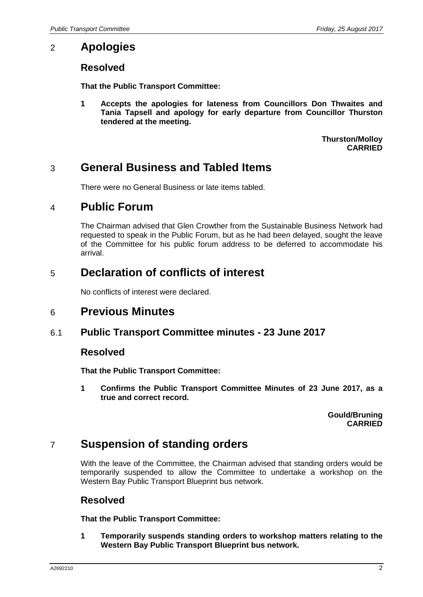# 2 **Apologies**

# **Resolved**

**That the Public Transport Committee:**

**1 Accepts the apologies for lateness from Councillors Don Thwaites and Tania Tapsell and apology for early departure from Councillor Thurston tendered at the meeting.**

> **Thurston/Molloy CARRIED**

# 3 **General Business and Tabled Items**

There were no General Business or late items tabled.

# 4 **Public Forum**

The Chairman advised that Glen Crowther from the Sustainable Business Network had requested to speak in the Public Forum, but as he had been delayed, sought the leave of the Committee for his public forum address to be deferred to accommodate his arrival.

# 5 **Declaration of conflicts of interest**

No conflicts of interest were declared.

# 6 **Previous Minutes**

## 6.1 **Public Transport Committee minutes - 23 June 2017**

## **Resolved**

**That the Public Transport Committee:**

**1 Confirms the Public Transport Committee Minutes of 23 June 2017, as a true and correct record.**

> **Gould/Bruning CARRIED**

# 7 **Suspension of standing orders**

With the leave of the Committee, the Chairman advised that standing orders would be temporarily suspended to allow the Committee to undertake a workshop on the Western Bay Public Transport Blueprint bus network.

# **Resolved**

**That the Public Transport Committee:**

**1 Temporarily suspends standing orders to workshop matters relating to the Western Bay Public Transport Blueprint bus network.**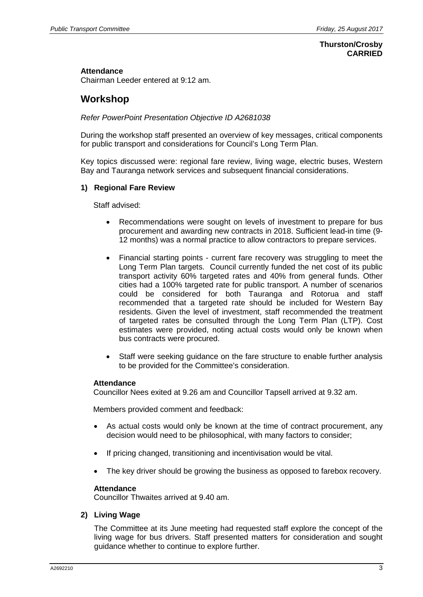## **Thurston/Crosby CARRIED**

## **Attendance**

Chairman Leeder entered at 9:12 am.

# **Workshop**

## *Refer PowerPoint Presentation Objective ID A2681038*

During the workshop staff presented an overview of key messages, critical components for public transport and considerations for Council's Long Term Plan.

Key topics discussed were: regional fare review, living wage, electric buses, Western Bay and Tauranga network services and subsequent financial considerations.

## **1) Regional Fare Review**

Staff advised:

- Recommendations were sought on levels of investment to prepare for bus procurement and awarding new contracts in 2018. Sufficient lead-in time (9- 12 months) was a normal practice to allow contractors to prepare services.
- Financial starting points current fare recovery was struggling to meet the Long Term Plan targets. Council currently funded the net cost of its public transport activity 60% targeted rates and 40% from general funds. Other cities had a 100% targeted rate for public transport. A number of scenarios could be considered for both Tauranga and Rotorua and staff recommended that a targeted rate should be included for Western Bay residents. Given the level of investment, staff recommended the treatment of targeted rates be consulted through the Long Term Plan (LTP). Cost estimates were provided, noting actual costs would only be known when bus contracts were procured.
- Staff were seeking guidance on the fare structure to enable further analysis to be provided for the Committee's consideration.

#### **Attendance**

Councillor Nees exited at 9.26 am and Councillor Tapsell arrived at 9.32 am.

Members provided comment and feedback:

- As actual costs would only be known at the time of contract procurement, any decision would need to be philosophical, with many factors to consider;
- If pricing changed, transitioning and incentivisation would be vital.
- The key driver should be growing the business as opposed to farebox recovery.

#### **Attendance**

Councillor Thwaites arrived at 9.40 am.

## **2) Living Wage**

The Committee at its June meeting had requested staff explore the concept of the living wage for bus drivers. Staff presented matters for consideration and sought guidance whether to continue to explore further.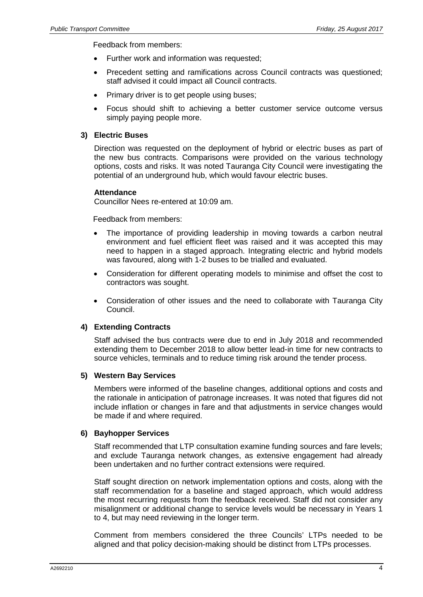Feedback from members:

- Further work and information was requested;
- Precedent setting and ramifications across Council contracts was questioned; staff advised it could impact all Council contracts.
- Primary driver is to get people using buses;
- Focus should shift to achieving a better customer service outcome versus simply paying people more.

#### **3) Electric Buses**

Direction was requested on the deployment of hybrid or electric buses as part of the new bus contracts. Comparisons were provided on the various technology options, costs and risks. It was noted Tauranga City Council were investigating the potential of an underground hub, which would favour electric buses.

#### **Attendance**

Councillor Nees re-entered at 10:09 am.

Feedback from members:

- The importance of providing leadership in moving towards a carbon neutral environment and fuel efficient fleet was raised and it was accepted this may need to happen in a staged approach. Integrating electric and hybrid models was favoured, along with 1-2 buses to be trialled and evaluated.
- Consideration for different operating models to minimise and offset the cost to contractors was sought.
- Consideration of other issues and the need to collaborate with Tauranga City Council.

## **4) Extending Contracts**

Staff advised the bus contracts were due to end in July 2018 and recommended extending them to December 2018 to allow better lead-in time for new contracts to source vehicles, terminals and to reduce timing risk around the tender process.

#### **5) Western Bay Services**

Members were informed of the baseline changes, additional options and costs and the rationale in anticipation of patronage increases. It was noted that figures did not include inflation or changes in fare and that adjustments in service changes would be made if and where required.

#### **6) Bayhopper Services**

Staff recommended that LTP consultation examine funding sources and fare levels; and exclude Tauranga network changes, as extensive engagement had already been undertaken and no further contract extensions were required.

Staff sought direction on network implementation options and costs, along with the staff recommendation for a baseline and staged approach, which would address the most recurring requests from the feedback received. Staff did not consider any misalignment or additional change to service levels would be necessary in Years 1 to 4, but may need reviewing in the longer term.

Comment from members considered the three Councils' LTPs needed to be aligned and that policy decision-making should be distinct from LTPs processes.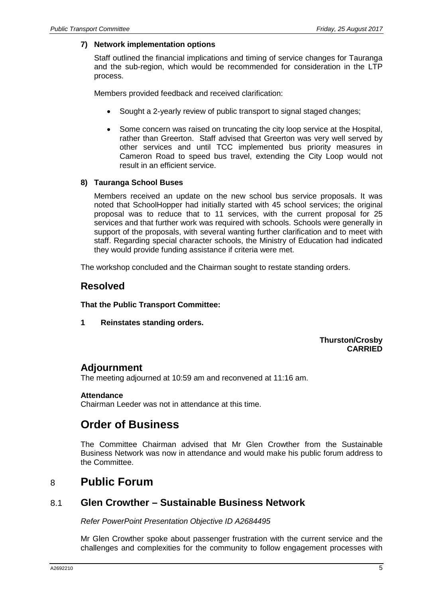## **7) Network implementation options**

Staff outlined the financial implications and timing of service changes for Tauranga and the sub-region, which would be recommended for consideration in the LTP process.

Members provided feedback and received clarification:

- Sought a 2-yearly review of public transport to signal staged changes;
- Some concern was raised on truncating the city loop service at the Hospital, rather than Greerton. Staff advised that Greerton was very well served by other services and until TCC implemented bus priority measures in Cameron Road to speed bus travel, extending the City Loop would not result in an efficient service.

## **8) Tauranga School Buses**

Members received an update on the new school bus service proposals. It was noted that SchoolHopper had initially started with 45 school services; the original proposal was to reduce that to 11 services, with the current proposal for 25 services and that further work was required with schools. Schools were generally in support of the proposals, with several wanting further clarification and to meet with staff. Regarding special character schools, the Ministry of Education had indicated they would provide funding assistance if criteria were met.

The workshop concluded and the Chairman sought to restate standing orders.

## **Resolved**

**That the Public Transport Committee:**

**1 Reinstates standing orders.**

## **Thurston/Crosby CARRIED**

# **Adjournment**

The meeting adjourned at 10:59 am and reconvened at 11:16 am.

## **Attendance**

Chairman Leeder was not in attendance at this time.

# **Order of Business**

The Committee Chairman advised that Mr Glen Crowther from the Sustainable Business Network was now in attendance and would make his public forum address to the Committee.

# 8 **Public Forum**

## 8.1 **Glen Crowther – Sustainable Business Network**

*Refer PowerPoint Presentation Objective ID A2684495*

Mr Glen Crowther spoke about passenger frustration with the current service and the challenges and complexities for the community to follow engagement processes with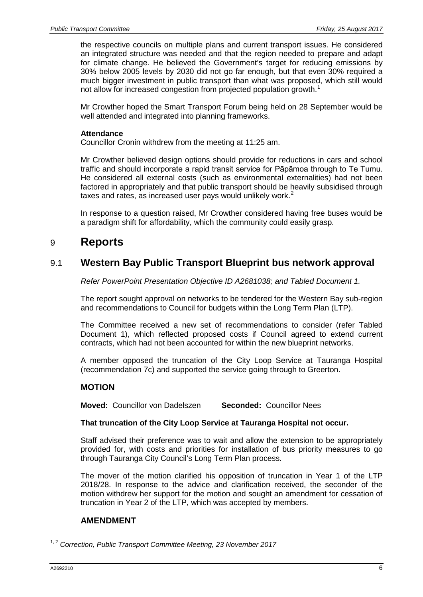the respective councils on multiple plans and current transport issues. He considered an integrated structure was needed and that the region needed to prepare and adapt for climate change. He believed the Government's target for reducing emissions by 30% below 2005 levels by 2030 did not go far enough, but that even 30% required a much bigger investment in public transport than what was proposed, which still would not allow for increased congestion from projected population growth.<sup>[1](#page-5-0)</sup>

Mr Crowther hoped the Smart Transport Forum being held on 28 September would be well attended and integrated into planning frameworks.

#### **Attendance**

Councillor Cronin withdrew from the meeting at 11:25 am.

Mr Crowther believed design options should provide for reductions in cars and school traffic and should incorporate a rapid transit service for Pāpāmoa through to Te Tumu. He considered all external costs (such as environmental externalities) had not been factored in appropriately and that public transport should be heavily subsidised through taxes and rates, as increased user pays would unlikely work.<sup>[2](#page-5-1)</sup>

In response to a question raised, Mr Crowther considered having free buses would be a paradigm shift for affordability, which the community could easily grasp.

# 9 **Reports**

# 9.1 **Western Bay Public Transport Blueprint bus network approval**

*Refer PowerPoint Presentation Objective ID A2681038; and Tabled Document 1.*

The report sought approval on networks to be tendered for the Western Bay sub-region and recommendations to Council for budgets within the Long Term Plan (LTP).

The Committee received a new set of recommendations to consider (refer Tabled Document 1), which reflected proposed costs if Council agreed to extend current contracts, which had not been accounted for within the new blueprint networks.

A member opposed the truncation of the City Loop Service at Tauranga Hospital (recommendation 7c) and supported the service going through to Greerton.

## **MOTION**

**Moved:** Councillor von Dadelszen **Seconded:** Councillor Nees

## **That truncation of the City Loop Service at Tauranga Hospital not occur.**

Staff advised their preference was to wait and allow the extension to be appropriately provided for, with costs and priorities for installation of bus priority measures to go through Tauranga City Council's Long Term Plan process.

The mover of the motion clarified his opposition of truncation in Year 1 of the LTP 2018/28. In response to the advice and clarification received, the seconder of the motion withdrew her support for the motion and sought an amendment for cessation of truncation in Year 2 of the LTP, which was accepted by members.

## **AMENDMENT**

<span id="page-5-1"></span><span id="page-5-0"></span><sup>1, 2</sup> *Correction, Public Transport Committee Meeting, 23 November 2017*  $\overline{a}$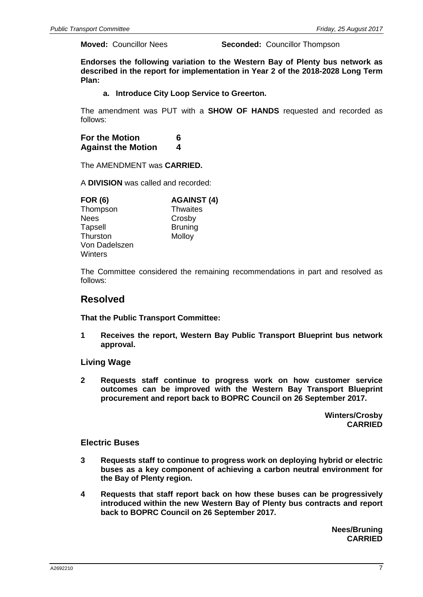**Moved:** Councillor Nees **Seconded:** Councillor Thompson

**Endorses the following variation to the Western Bay of Plenty bus network as described in the report for implementation in Year 2 of the 2018-2028 Long Term Plan:**

**a. Introduce City Loop Service to Greerton.**

The amendment was PUT with a **SHOW OF HANDS** requested and recorded as follows:

**For the Motion 6 Against the Motion 4**

The AMENDMENT was **CARRIED.** 

A **DIVISION** was called and recorded:

| <b>FOR (6)</b> | <b>AGAINST (4)</b> |
|----------------|--------------------|
| Thompson       | <b>Thwaites</b>    |
| <b>Nees</b>    | Crosby             |
| Tapsell        | <b>Bruning</b>     |
| Thurston       | Molloy             |
| Von Dadelszen  |                    |
| <b>Winters</b> |                    |
|                |                    |

The Committee considered the remaining recommendations in part and resolved as follows:

## **Resolved**

**That the Public Transport Committee:**

**1 Receives the report, Western Bay Public Transport Blueprint bus network approval.**

## **Living Wage**

**2 Requests staff continue to progress work on how customer service outcomes can be improved with the Western Bay Transport Blueprint procurement and report back to BOPRC Council on 26 September 2017.** 

> **Winters/Crosby CARRIED**

## **Electric Buses**

- **3 Requests staff to continue to progress work on deploying hybrid or electric buses as a key component of achieving a carbon neutral environment for the Bay of Plenty region.**
- **4 Requests that staff report back on how these buses can be progressively introduced within the new Western Bay of Plenty bus contracts and report back to BOPRC Council on 26 September 2017.**

**Nees/Bruning CARRIED**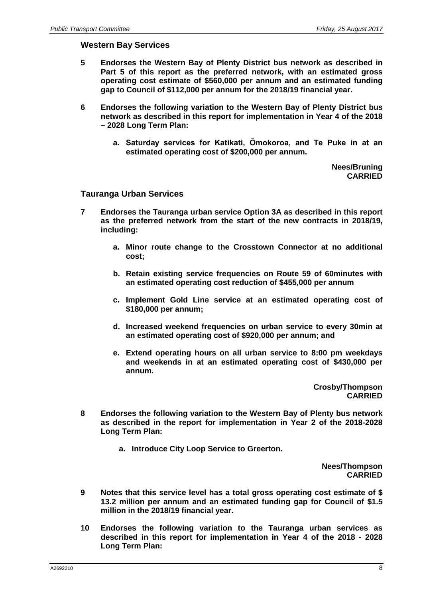#### **Western Bay Services**

- **5 Endorses the Western Bay of Plenty District bus network as described in Part 5 of this report as the preferred network, with an estimated gross operating cost estimate of \$560,000 per annum and an estimated funding gap to Council of \$112,000 per annum for the 2018/19 financial year.**
- **6 Endorses the following variation to the Western Bay of Plenty District bus network as described in this report for implementation in Year 4 of the 2018 – 2028 Long Term Plan:**
	- **a. Saturday services for Katikati, Ōmokoroa, and Te Puke in at an estimated operating cost of \$200,000 per annum.**

**Nees/Bruning CARRIED**

#### **Tauranga Urban Services**

- **7 Endorses the Tauranga urban service Option 3A as described in this report as the preferred network from the start of the new contracts in 2018/19, including:**
	- **a. Minor route change to the Crosstown Connector at no additional cost;**
	- **b. Retain existing service frequencies on Route 59 of 60minutes with an estimated operating cost reduction of \$455,000 per annum**
	- **c. Implement Gold Line service at an estimated operating cost of \$180,000 per annum;**
	- **d. Increased weekend frequencies on urban service to every 30min at an estimated operating cost of \$920,000 per annum; and**
	- **e. Extend operating hours on all urban service to 8:00 pm weekdays and weekends in at an estimated operating cost of \$430,000 per annum.**

**Crosby/Thompson CARRIED**

- **8 Endorses the following variation to the Western Bay of Plenty bus network as described in the report for implementation in Year 2 of the 2018-2028 Long Term Plan:**
	- **a. Introduce City Loop Service to Greerton.**

**Nees/Thompson CARRIED**

- **9 Notes that this service level has a total gross operating cost estimate of \$ 13.2 million per annum and an estimated funding gap for Council of \$1.5 million in the 2018/19 financial year.**
- **10 Endorses the following variation to the Tauranga urban services as described in this report for implementation in Year 4 of the 2018 - 2028 Long Term Plan:**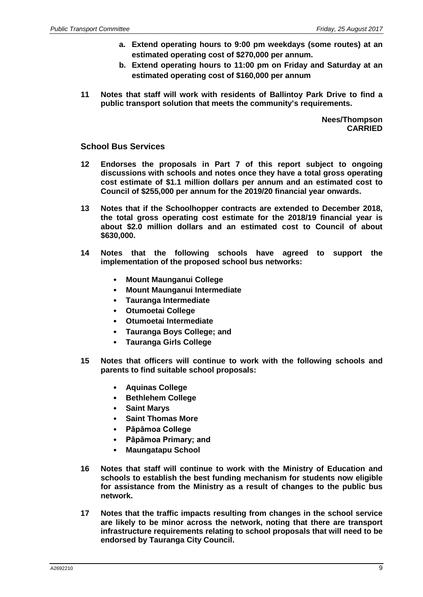- **a. Extend operating hours to 9:00 pm weekdays (some routes) at an estimated operating cost of \$270,000 per annum.**
- **b. Extend operating hours to 11:00 pm on Friday and Saturday at an estimated operating cost of \$160,000 per annum**
- **11 Notes that staff will work with residents of Ballintoy Park Drive to find a public transport solution that meets the community's requirements.**

**Nees/Thompson CARRIED**

## **School Bus Services**

- **12 Endorses the proposals in Part 7 of this report subject to ongoing discussions with schools and notes once they have a total gross operating cost estimate of \$1.1 million dollars per annum and an estimated cost to Council of \$255,000 per annum for the 2019/20 financial year onwards.**
- **13 Notes that if the Schoolhopper contracts are extended to December 2018, the total gross operating cost estimate for the 2018/19 financial year is about \$2.0 million dollars and an estimated cost to Council of about \$630,000.**
- **14 Notes that the following schools have agreed to support the implementation of the proposed school bus networks:**
	- **Mount Maunganui College**
	- **Mount Maunganui Intermediate**
	- **Tauranga Intermediate**
	- **Otumoetai College**
	- **Otumoetai Intermediate**
	- **Tauranga Boys College; and**
	- **Tauranga Girls College**
- **15 Notes that officers will continue to work with the following schools and parents to find suitable school proposals:**
	- **Aquinas College**
	- **Bethlehem College**
	- **Saint Marys**
	- **Saint Thomas More**
	- **Pāpāmoa College**
	- **Pāpāmoa Primary; and**
	- **Maungatapu School**
- **16 Notes that staff will continue to work with the Ministry of Education and schools to establish the best funding mechanism for students now eligible for assistance from the Ministry as a result of changes to the public bus network.**
- **17 Notes that the traffic impacts resulting from changes in the school service are likely to be minor across the network, noting that there are transport infrastructure requirements relating to school proposals that will need to be endorsed by Tauranga City Council.**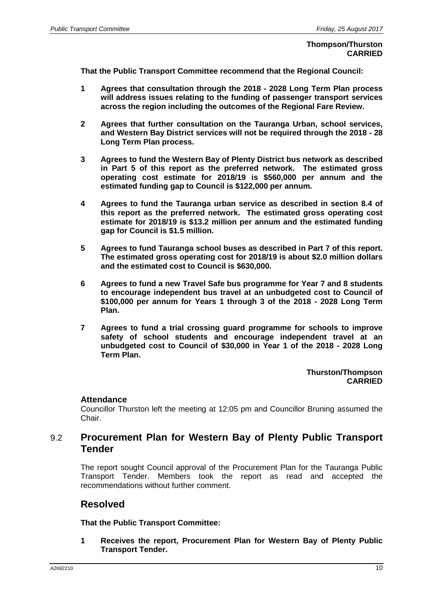#### **Thompson/Thurston CARRIED**

**That the Public Transport Committee recommend that the Regional Council:**

- **1 Agrees that consultation through the 2018 - 2028 Long Term Plan process will address issues relating to the funding of passenger transport services across the region including the outcomes of the Regional Fare Review.**
- **2 Agrees that further consultation on the Tauranga Urban, school services, and Western Bay District services will not be required through the 2018 - 28 Long Term Plan process.**
- **3 Agrees to fund the Western Bay of Plenty District bus network as described in Part 5 of this report as the preferred network. The estimated gross operating cost estimate for 2018/19 is \$560,000 per annum and the estimated funding gap to Council is \$122,000 per annum.**
- **4 Agrees to fund the Tauranga urban service as described in section 8.4 of this report as the preferred network. The estimated gross operating cost estimate for 2018/19 is \$13.2 million per annum and the estimated funding gap for Council is \$1.5 million.**
- **5 Agrees to fund Tauranga school buses as described in Part 7 of this report. The estimated gross operating cost for 2018/19 is about \$2.0 million dollars and the estimated cost to Council is \$630,000.**
- **6 Agrees to fund a new Travel Safe bus programme for Year 7 and 8 students to encourage independent bus travel at an unbudgeted cost to Council of \$100,000 per annum for Years 1 through 3 of the 2018 - 2028 Long Term Plan.**
- **7 Agrees to fund a trial crossing guard programme for schools to improve safety of school students and encourage independent travel at an unbudgeted cost to Council of \$30,000 in Year 1 of the 2018 - 2028 Long Term Plan.**

**Thurston/Thompson CARRIED**

## **Attendance**

Councillor Thurston left the meeting at 12:05 pm and Councillor Bruning assumed the Chair.

# 9.2 **Procurement Plan for Western Bay of Plenty Public Transport Tender**

The report sought Council approval of the Procurement Plan for the Tauranga Public Transport Tender. Members took the report as read and accepted the recommendations without further comment.

## **Resolved**

**That the Public Transport Committee:**

**1 Receives the report, Procurement Plan for Western Bay of Plenty Public Transport Tender.**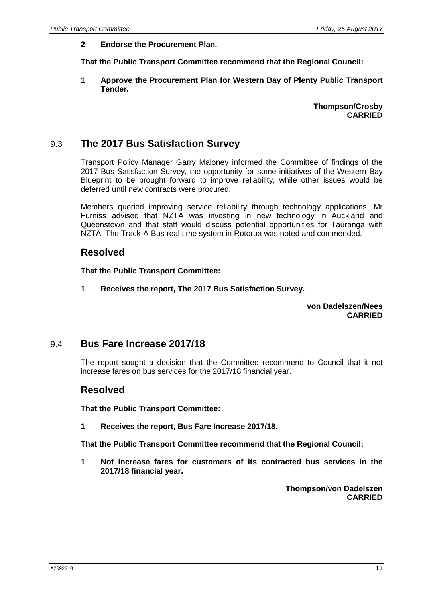#### **2 Endorse the Procurement Plan.**

**That the Public Transport Committee recommend that the Regional Council:**

**1 Approve the Procurement Plan for Western Bay of Plenty Public Transport Tender.** 

> **Thompson/Crosby CARRIED**

# 9.3 **The 2017 Bus Satisfaction Survey**

Transport Policy Manager Garry Maloney informed the Committee of findings of the 2017 Bus Satisfaction Survey, the opportunity for some initiatives of the Western Bay Blueprint to be brought forward to improve reliability, while other issues would be deferred until new contracts were procured.

Members queried improving service reliability through technology applications. Mr Furniss advised that NZTA was investing in new technology in Auckland and Queenstown and that staff would discuss potential opportunities for Tauranga with NZTA. The Track-A-Bus real time system in Rotorua was noted and commended.

# **Resolved**

**That the Public Transport Committee:**

**1 Receives the report, The 2017 Bus Satisfaction Survey.**

**von Dadelszen/Nees CARRIED**

## 9.4 **Bus Fare Increase 2017/18**

The report sought a decision that the Committee recommend to Council that it not increase fares on bus services for the 2017/18 financial year.

## **Resolved**

**That the Public Transport Committee:**

**1 Receives the report, Bus Fare Increase 2017/18.**

**That the Public Transport Committee recommend that the Regional Council:**

**1 Not increase fares for customers of its contracted bus services in the 2017/18 financial year.**

> **Thompson/von Dadelszen CARRIED**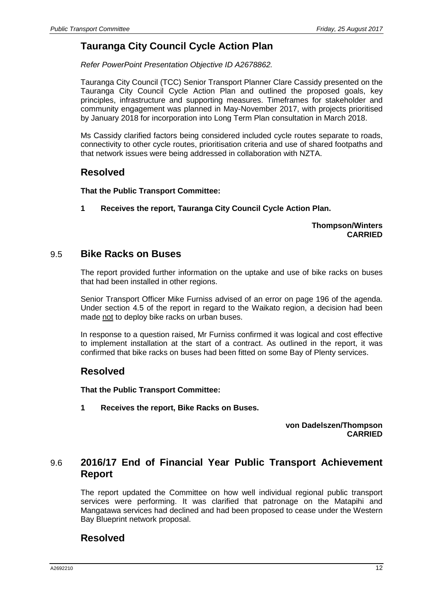# **Tauranga City Council Cycle Action Plan**

*Refer PowerPoint Presentation Objective ID A2678862.*

Tauranga City Council (TCC) Senior Transport Planner Clare Cassidy presented on the Tauranga City Council Cycle Action Plan and outlined the proposed goals, key principles, infrastructure and supporting measures. Timeframes for stakeholder and community engagement was planned in May-November 2017, with projects prioritised by January 2018 for incorporation into Long Term Plan consultation in March 2018.

Ms Cassidy clarified factors being considered included cycle routes separate to roads, connectivity to other cycle routes, prioritisation criteria and use of shared footpaths and that network issues were being addressed in collaboration with NZTA.

# **Resolved**

**That the Public Transport Committee:**

**1 Receives the report, Tauranga City Council Cycle Action Plan.**

**Thompson/Winters CARRIED**

## 9.5 **Bike Racks on Buses**

The report provided further information on the uptake and use of bike racks on buses that had been installed in other regions.

Senior Transport Officer Mike Furniss advised of an error on page 196 of the agenda. Under section 4.5 of the report in regard to the Waikato region, a decision had been made not to deploy bike racks on urban buses.

In response to a question raised, Mr Furniss confirmed it was logical and cost effective to implement installation at the start of a contract. As outlined in the report, it was confirmed that bike racks on buses had been fitted on some Bay of Plenty services.

# **Resolved**

**That the Public Transport Committee:**

**1 Receives the report, Bike Racks on Buses.**

**von Dadelszen/Thompson CARRIED**

# 9.6 **2016/17 End of Financial Year Public Transport Achievement Report**

The report updated the Committee on how well individual regional public transport services were performing. It was clarified that patronage on the Matapihi and Mangatawa services had declined and had been proposed to cease under the Western Bay Blueprint network proposal.

# **Resolved**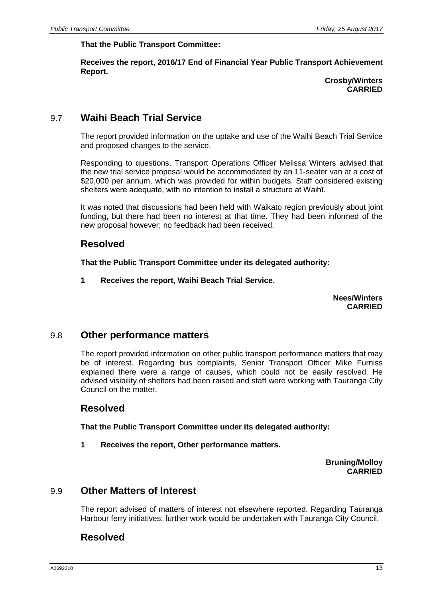#### **That the Public Transport Committee:**

**Receives the report, 2016/17 End of Financial Year Public Transport Achievement Report.**

## **Crosby/Winters CARRIED**

# 9.7 **Waihi Beach Trial Service**

The report provided information on the uptake and use of the Waihi Beach Trial Service and proposed changes to the service.

Responding to questions, Transport Operations Officer Melissa Winters advised that the new trial service proposal would be accommodated by an 11-seater van at a cost of \$20,000 per annum, which was provided for within budgets. Staff considered existing shelters were adequate, with no intention to install a structure at Waihī.

It was noted that discussions had been held with Waikato region previously about joint funding, but there had been no interest at that time. They had been informed of the new proposal however; no feedback had been received.

## **Resolved**

**That the Public Transport Committee under its delegated authority:**

**1 Receives the report, Waihi Beach Trial Service.**

**Nees/Winters CARRIED**

## 9.8 **Other performance matters**

The report provided information on other public transport performance matters that may be of interest. Regarding bus complaints, Senior Transport Officer Mike Furniss explained there were a range of causes, which could not be easily resolved. He advised visibility of shelters had been raised and staff were working with Tauranga City Council on the matter.

## **Resolved**

**That the Public Transport Committee under its delegated authority:**

**1 Receives the report, Other performance matters.**

**Bruning/Molloy CARRIED**

## 9.9 **Other Matters of Interest**

The report advised of matters of interest not elsewhere reported. Regarding Tauranga Harbour ferry initiatives, further work would be undertaken with Tauranga City Council.

## **Resolved**

 $A2692210$  and  $A332210$  and  $A332210$  and  $A332210$  and  $A332210$  and  $A332210$